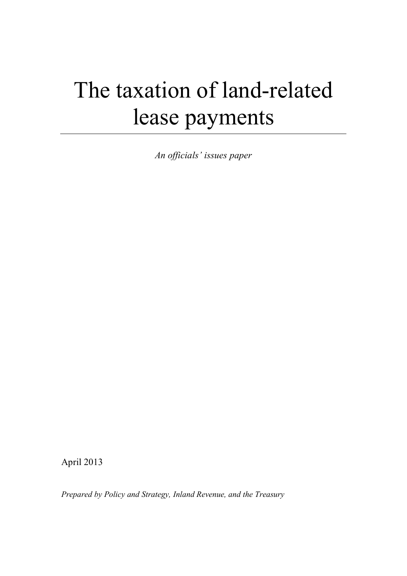# The taxation of land-related lease payments

*An officials' issues paper*

April 2013

*Prepared by Policy and Strategy, Inland Revenue, and the Treasury*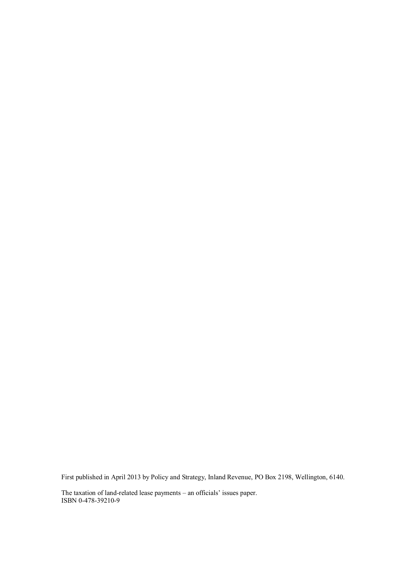First published in April 2013 by Policy and Strategy, Inland Revenue, PO Box 2198, Wellington, 6140.

The taxation of land-related lease payments – an officials' issues paper. ISBN 0-478-39210-9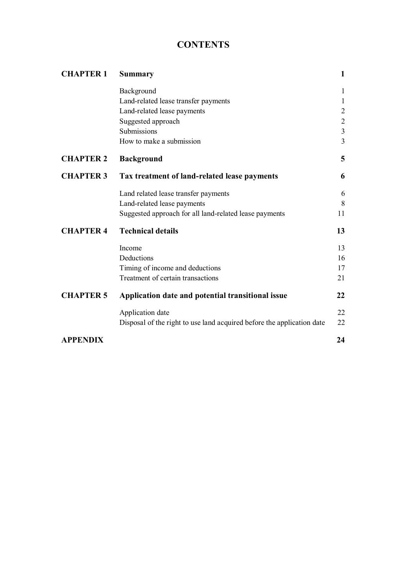# **CONTENTS**

| <b>CHAPTER 1</b> | <b>Summary</b>                                                         |                |
|------------------|------------------------------------------------------------------------|----------------|
|                  | Background                                                             | $\mathbf{1}$   |
|                  | Land-related lease transfer payments                                   | $\mathbf{1}$   |
|                  | Land-related lease payments                                            | $\overline{2}$ |
|                  | Suggested approach                                                     | $\sqrt{2}$     |
|                  | Submissions                                                            | $\mathfrak{Z}$ |
|                  | How to make a submission                                               | $\overline{3}$ |
| <b>CHAPTER 2</b> | <b>Background</b>                                                      | 5              |
| <b>CHAPTER 3</b> | Tax treatment of land-related lease payments                           | 6              |
|                  | Land related lease transfer payments                                   | 6              |
|                  | Land-related lease payments                                            | 8              |
|                  | Suggested approach for all land-related lease payments                 | 11             |
| <b>CHAPTER 4</b> | <b>Technical details</b>                                               | 13             |
|                  | Income                                                                 | 13             |
|                  | Deductions                                                             | 16             |
|                  | Timing of income and deductions                                        | 17             |
|                  | Treatment of certain transactions                                      | 21             |
| <b>CHAPTER 5</b> | Application date and potential transitional issue                      | 22             |
|                  | Application date                                                       | 22             |
|                  | Disposal of the right to use land acquired before the application date | 22             |
| <b>APPENDIX</b>  |                                                                        | 24             |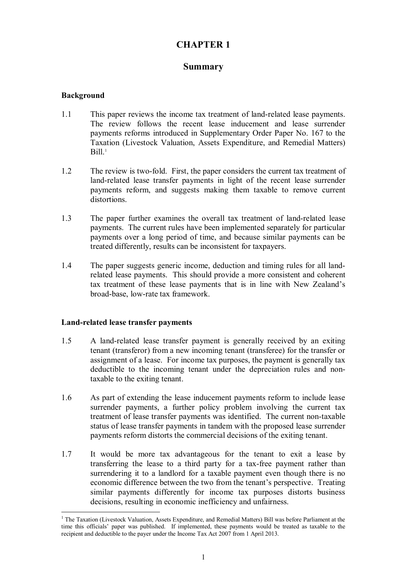# **CHAPTER 1**

# **Summary**

# **Background**

- 1.1 This paper reviews the income tax treatment of land-related lease payments. The review follows the recent lease inducement and lease surrender payments reforms introduced in Supplementary Order Paper No. 167 to the Taxation (Livestock Valuation, Assets Expenditure, and Remedial Matters)  $Bill.<sup>1</sup>$
- 1.2 The review is two-fold. First, the paper considers the current tax treatment of land-related lease transfer payments in light of the recent lease surrender payments reform, and suggests making them taxable to remove current distortions.
- 1.3 The paper further examines the overall tax treatment of land-related lease payments. The current rules have been implemented separately for particular payments over a long period of time, and because similar payments can be treated differently, results can be inconsistent for taxpayers.
- 1.4 The paper suggests generic income, deduction and timing rules for all landrelated lease payments. This should provide a more consistent and coherent tax treatment of these lease payments that is in line with New Zealand's broad-base, low-rate tax framework.

## **Land-related lease transfer payments**

- 1.5 A land-related lease transfer payment is generally received by an exiting tenant (transferor) from a new incoming tenant (transferee) for the transfer or assignment of a lease. For income tax purposes, the payment is generally tax deductible to the incoming tenant under the depreciation rules and nontaxable to the exiting tenant.
- 1.6 As part of extending the lease inducement payments reform to include lease surrender payments, a further policy problem involving the current tax treatment of lease transfer payments was identified. The current non-taxable status of lease transfer payments in tandem with the proposed lease surrender payments reform distorts the commercial decisions of the exiting tenant.
- 1.7 It would be more tax advantageous for the tenant to exit a lease by transferring the lease to a third party for a tax-free payment rather than surrendering it to a landlord for a taxable payment even though there is no economic difference between the two from the tenant's perspective. Treating similar payments differently for income tax purposes distorts business decisions, resulting in economic inefficiency and unfairness.

 $\overline{a}$ <sup>1</sup> The Taxation (Livestock Valuation, Assets Expenditure, and Remedial Matters) Bill was before Parliament at the time this officials' paper was published. If implemented, these payments would be treated as taxable to the recipient and deductible to the payer under the Income Tax Act 2007 from 1 April 2013.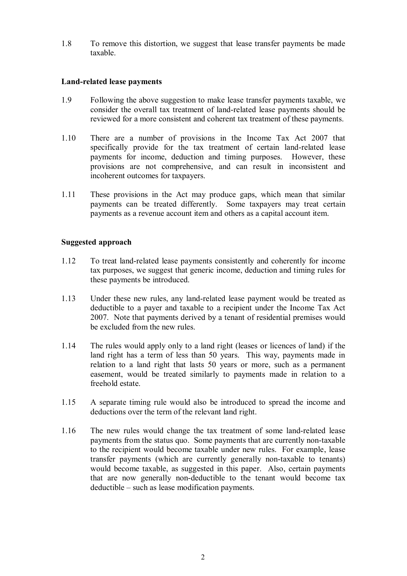1.8 To remove this distortion, we suggest that lease transfer payments be made taxable.

## **Land-related lease payments**

- 1.9 Following the above suggestion to make lease transfer payments taxable, we consider the overall tax treatment of land-related lease payments should be reviewed for a more consistent and coherent tax treatment of these payments.
- 1.10 There are a number of provisions in the Income Tax Act 2007 that specifically provide for the tax treatment of certain land-related lease payments for income, deduction and timing purposes. However, these provisions are not comprehensive, and can result in inconsistent and incoherent outcomes for taxpayers.
- 1.11 These provisions in the Act may produce gaps, which mean that similar payments can be treated differently. Some taxpayers may treat certain payments as a revenue account item and others as a capital account item.

## **Suggested approach**

- 1.12 To treat land-related lease payments consistently and coherently for income tax purposes, we suggest that generic income, deduction and timing rules for these payments be introduced.
- 1.13 Under these new rules, any land-related lease payment would be treated as deductible to a payer and taxable to a recipient under the Income Tax Act 2007. Note that payments derived by a tenant of residential premises would be excluded from the new rules.
- 1.14 The rules would apply only to a land right (leases or licences of land) if the land right has a term of less than 50 years. This way, payments made in relation to a land right that lasts 50 years or more, such as a permanent easement, would be treated similarly to payments made in relation to a freehold estate.
- 1.15 A separate timing rule would also be introduced to spread the income and deductions over the term of the relevant land right.
- 1.16 The new rules would change the tax treatment of some land-related lease payments from the status quo. Some payments that are currently non-taxable to the recipient would become taxable under new rules. For example, lease transfer payments (which are currently generally non-taxable to tenants) would become taxable, as suggested in this paper. Also, certain payments that are now generally non-deductible to the tenant would become tax deductible – such as lease modification payments.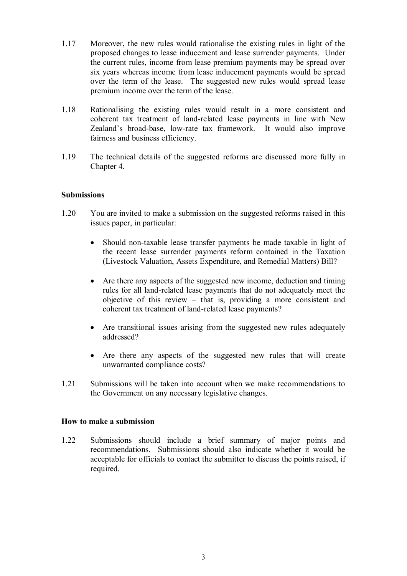- 1.17 Moreover, the new rules would rationalise the existing rules in light of the proposed changes to lease inducement and lease surrender payments. Under the current rules, income from lease premium payments may be spread over six years whereas income from lease inducement payments would be spread over the term of the lease. The suggested new rules would spread lease premium income over the term of the lease.
- 1.18 Rationalising the existing rules would result in a more consistent and coherent tax treatment of land-related lease payments in line with New Zealand's broad-base, low-rate tax framework. It would also improve fairness and business efficiency.
- 1.19 The technical details of the suggested reforms are discussed more fully in Chapter 4.

## **Submissions**

- 1.20 You are invited to make a submission on the suggested reforms raised in this issues paper, in particular:
	- Should non-taxable lease transfer payments be made taxable in light of the recent lease surrender payments reform contained in the Taxation (Livestock Valuation, Assets Expenditure, and Remedial Matters) Bill?
	- Are there any aspects of the suggested new income, deduction and timing rules for all land-related lease payments that do not adequately meet the objective of this review – that is, providing a more consistent and coherent tax treatment of land-related lease payments?
	- Are transitional issues arising from the suggested new rules adequately addressed?
	- Are there any aspects of the suggested new rules that will create unwarranted compliance costs?
- 1.21 Submissions will be taken into account when we make recommendations to the Government on any necessary legislative changes.

## **How to make a submission**

1.22 Submissions should include a brief summary of major points and recommendations. Submissions should also indicate whether it would be acceptable for officials to contact the submitter to discuss the points raised, if required.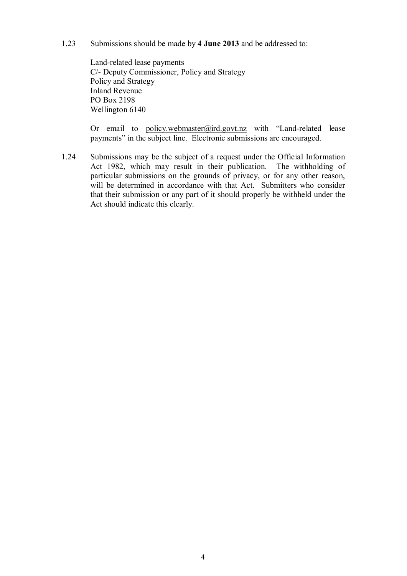1.23 Submissions should be made by **4 June 2013** and be addressed to:

Land-related lease payments C/- Deputy Commissioner, Policy and Strategy Policy and Strategy Inland Revenue PO Box 2198 Wellington 6140

Or email to [policy.webmaster@ird.govt.nz](mailto:policy.webmaster@ird.govt.nz) with "Land-related lease payments" in the subject line. Electronic submissions are encouraged.

1.24 Submissions may be the subject of a request under the Official Information Act 1982, which may result in their publication. The withholding of particular submissions on the grounds of privacy, or for any other reason, will be determined in accordance with that Act. Submitters who consider that their submission or any part of it should properly be withheld under the Act should indicate this clearly.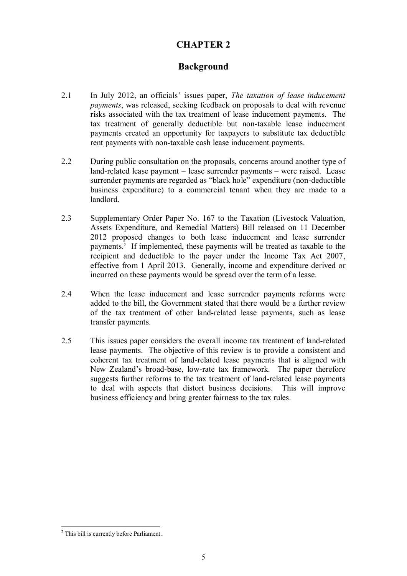# **CHAPTER 2**

# **Background**

- 2.1 In July 2012, an officials' issues paper, *The taxation of lease inducement payments*, was released, seeking feedback on proposals to deal with revenue risks associated with the tax treatment of lease inducement payments. The tax treatment of generally deductible but non-taxable lease inducement payments created an opportunity for taxpayers to substitute tax deductible rent payments with non-taxable cash lease inducement payments.
- 2.2 During public consultation on the proposals, concerns around another type of land-related lease payment – lease surrender payments – were raised. Lease surrender payments are regarded as "black hole" expenditure (non-deductible business expenditure) to a commercial tenant when they are made to a landlord.
- 2.3 Supplementary Order Paper No. 167 to the Taxation (Livestock Valuation, Assets Expenditure, and Remedial Matters) Bill released on 11 December 2012 proposed changes to both lease inducement and lease surrender payments.<sup>2</sup> If implemented, these payments will be treated as taxable to the recipient and deductible to the payer under the Income Tax Act 2007, effective from 1 April 2013. Generally, income and expenditure derived or incurred on these payments would be spread over the term of a lease.
- 2.4 When the lease inducement and lease surrender payments reforms were added to the bill, the Government stated that there would be a further review of the tax treatment of other land-related lease payments, such as lease transfer payments.
- 2.5 This issues paper considers the overall income tax treatment of land-related lease payments. The objective of this review is to provide a consistent and coherent tax treatment of land-related lease payments that is aligned with New Zealand's broad-base, low-rate tax framework. The paper therefore suggests further reforms to the tax treatment of land-related lease payments to deal with aspects that distort business decisions. This will improve business efficiency and bring greater fairness to the tax rules.

<sup>&</sup>lt;sup>2</sup> This bill is currently before Parliament.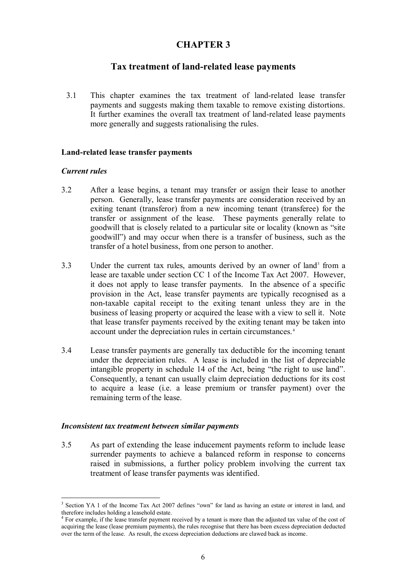# **CHAPTER 3**

# **Tax treatment of land-related lease payments**

3.1 This chapter examines the tax treatment of land-related lease transfer payments and suggests making them taxable to remove existing distortions. It further examines the overall tax treatment of land-related lease payments more generally and suggests rationalising the rules.

# **Land-related lease transfer payments**

## *Current rules*

- 3.2 After a lease begins, a tenant may transfer or assign their lease to another person. Generally, lease transfer payments are consideration received by an exiting tenant (transferor) from a new incoming tenant (transferee) for the transfer or assignment of the lease. These payments generally relate to goodwill that is closely related to a particular site or locality (known as "site goodwill") and may occur when there is a transfer of business, such as the transfer of a hotel business, from one person to another.
- 3.3 Under the current tax rules, amounts derived by an owner of land<sup>3</sup> from a lease are taxable under section CC 1 of the Income Tax Act 2007. However, it does not apply to lease transfer payments. In the absence of a specific provision in the Act, lease transfer payments are typically recognised as a non-taxable capital receipt to the exiting tenant unless they are in the business of leasing property or acquired the lease with a view to sell it. Note that lease transfer payments received by the exiting tenant may be taken into account under the depreciation rules in certain circumstances. <sup>4</sup>
- 3.4 Lease transfer payments are generally tax deductible for the incoming tenant under the depreciation rules. A lease is included in the list of depreciable intangible property in schedule 14 of the Act, being "the right to use land". Consequently, a tenant can usually claim depreciation deductions for its cost to acquire a lease (i.e. a lease premium or transfer payment) over the remaining term of the lease.

## *Inconsistent tax treatment between similar payments*

3.5 As part of extending the lease inducement payments reform to include lease surrender payments to achieve a balanced reform in response to concerns raised in submissions, a further policy problem involving the current tax treatment of lease transfer payments was identified.

<sup>&</sup>lt;sup>3</sup> Section YA 1 of the Income Tax Act 2007 defines "own" for land as having an estate or interest in land, and therefore includes holding a leasehold estate.

<sup>&</sup>lt;sup>4</sup> For example, if the lease transfer payment received by a tenant is more than the adjusted tax value of the cost of acquiring the lease (lease premium payments), the rules recognise that there has been excess depreciation deducted over the term of the lease. As result, the excess depreciation deductions are clawed back as income.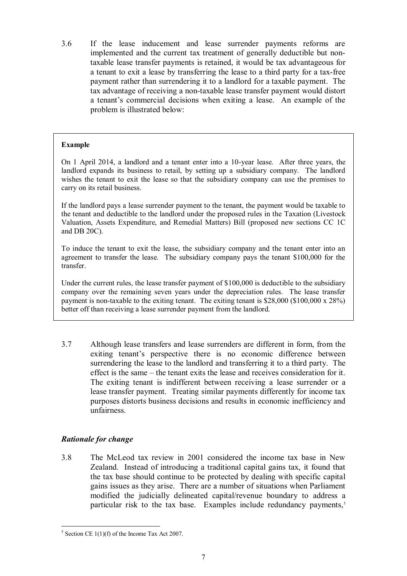3.6 If the lease inducement and lease surrender payments reforms are implemented and the current tax treatment of generally deductible but nontaxable lease transfer payments is retained, it would be tax advantageous for a tenant to exit a lease by transferring the lease to a third party for a tax-free payment rather than surrendering it to a landlord for a taxable payment. The tax advantage of receiving a non-taxable lease transfer payment would distort a tenant's commercial decisions when exiting a lease. An example of the problem is illustrated below:

# **Example**

On 1 April 2014, a landlord and a tenant enter into a 10-year lease. After three years, the landlord expands its business to retail, by setting up a subsidiary company. The landlord wishes the tenant to exit the lease so that the subsidiary company can use the premises to carry on its retail business.

If the landlord pays a lease surrender payment to the tenant, the payment would be taxable to the tenant and deductible to the landlord under the proposed rules in the Taxation (Livestock Valuation, Assets Expenditure, and Remedial Matters) Bill (proposed new sections CC 1C and DB 20C).

To induce the tenant to exit the lease, the subsidiary company and the tenant enter into an agreement to transfer the lease. The subsidiary company pays the tenant \$100,000 for the transfer.

Under the current rules, the lease transfer payment of \$100,000 is deductible to the subsidiary company over the remaining seven years under the depreciation rules. The lease transfer payment is non-taxable to the exiting tenant. The exiting tenant is \$28,000 (\$100,000 x 28%) better off than receiving a lease surrender payment from the landlord.

3.7 Although lease transfers and lease surrenders are different in form, from the exiting tenant's perspective there is no economic difference between surrendering the lease to the landlord and transferring it to a third party. The effect is the same – the tenant exits the lease and receives consideration for it. The exiting tenant is indifferent between receiving a lease surrender or a lease transfer payment. Treating similar payments differently for income tax purposes distorts business decisions and results in economic inefficiency and unfairness.

# *Rationale for change*

3.8 The McLeod tax review in 2001 considered the income tax base in New Zealand. Instead of introducing a traditional capital gains tax, it found that the tax base should continue to be protected by dealing with specific capital gains issues as they arise. There are a number of situations when Parliament modified the judicially delineated capital/revenue boundary to address a particular risk to the tax base. Examples include redundancy payments,<sup>5</sup>

 $\overline{a}$  $5$  Section CE 1(1)(f) of the Income Tax Act 2007.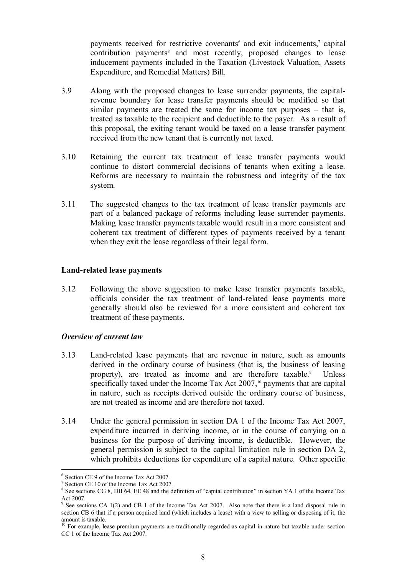payments received for restrictive covenants<sup>6</sup> and exit inducements,<sup>7</sup> capital contribution payments<sup>8</sup> and most recently, proposed changes to lease inducement payments included in the Taxation (Livestock Valuation, Assets Expenditure, and Remedial Matters) Bill.

- 3.9 Along with the proposed changes to lease surrender payments, the capitalrevenue boundary for lease transfer payments should be modified so that similar payments are treated the same for income tax purposes – that is, treated as taxable to the recipient and deductible to the payer. As a result of this proposal, the exiting tenant would be taxed on a lease transfer payment received from the new tenant that is currently not taxed.
- 3.10 Retaining the current tax treatment of lease transfer payments would continue to distort commercial decisions of tenants when exiting a lease. Reforms are necessary to maintain the robustness and integrity of the tax system.
- 3.11 The suggested changes to the tax treatment of lease transfer payments are part of a balanced package of reforms including lease surrender payments. Making lease transfer payments taxable would result in a more consistent and coherent tax treatment of different types of payments received by a tenant when they exit the lease regardless of their legal form.

# **Land-related lease payments**

3.12 Following the above suggestion to make lease transfer payments taxable, officials consider the tax treatment of land-related lease payments more generally should also be reviewed for a more consistent and coherent tax treatment of these payments.

## *Overview of current law*

- 3.13 Land-related lease payments that are revenue in nature, such as amounts derived in the ordinary course of business (that is, the business of leasing property), are treated as income and are therefore taxable.<sup>9</sup> Unless specifically taxed under the Income Tax Act 2007,<sup>10</sup> payments that are capital in nature, such as receipts derived outside the ordinary course of business, are not treated as income and are therefore not taxed.
- 3.14 Under the general permission in section DA 1 of the Income Tax Act 2007, expenditure incurred in deriving income, or in the course of carrying on a business for the purpose of deriving income, is deductible. However, the general permission is subject to the capital limitation rule in section DA 2, which prohibits deductions for expenditure of a capital nature. Other specific

<sup>6</sup> Section CE 9 of the Income Tax Act 2007.

<sup>&</sup>lt;sup>7</sup> Section CE 10 of the Income Tax Act 2007.

<sup>&</sup>lt;sup>8</sup> See sections CG 8, DB 64, EE 48 and the definition of "capital contribution" in section YA 1 of the Income Tax Act 2007.<br><sup>9</sup> See sections CA 1(2) and CB 1 of the Income Tax Act 2007. Also note that there is a land disposal rule in

section CB 6 that if a person acquired land (which includes a lease) with a view to selling or disposing of it, the amount is taxable.

 $10$  For example, lease premium payments are traditionally regarded as capital in nature but taxable under section CC 1 of the Income Tax Act 2007.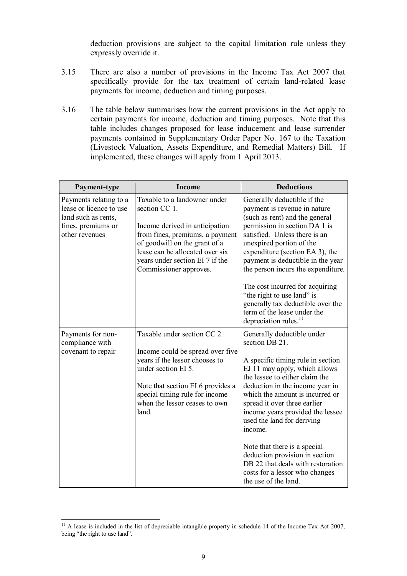deduction provisions are subject to the capital limitation rule unless they expressly override it.

- 3.15 There are also a number of provisions in the Income Tax Act 2007 that specifically provide for the tax treatment of certain land-related lease payments for income, deduction and timing purposes.
- 3.16 The table below summarises how the current provisions in the Act apply to certain payments for income, deduction and timing purposes. Note that this table includes changes proposed for lease inducement and lease surrender payments contained in Supplementary Order Paper No. 167 to the Taxation (Livestock Valuation, Assets Expenditure, and Remedial Matters) Bill. If implemented, these changes will apply from 1 April 2013.

| Payment-type                                                                                                     | <b>Income</b>                                                                                                                                                                                                                                       | <b>Deductions</b>                                                                                                                                                                                                                                                                                                                            |
|------------------------------------------------------------------------------------------------------------------|-----------------------------------------------------------------------------------------------------------------------------------------------------------------------------------------------------------------------------------------------------|----------------------------------------------------------------------------------------------------------------------------------------------------------------------------------------------------------------------------------------------------------------------------------------------------------------------------------------------|
| Payments relating to a<br>lease or licence to use<br>land such as rents,<br>fines, premiums or<br>other revenues | Taxable to a landowner under<br>section CC 1.<br>Income derived in anticipation<br>from fines, premiums, a payment<br>of goodwill on the grant of a<br>lease can be allocated over six<br>years under section EI 7 if the<br>Commissioner approves. | Generally deductible if the<br>payment is revenue in nature<br>(such as rent) and the general<br>permission in section DA 1 is<br>satisfied. Unless there is an<br>unexpired portion of the<br>expenditure (section EA 3), the<br>payment is deductible in the year<br>the person incurs the expenditure.<br>The cost incurred for acquiring |
|                                                                                                                  |                                                                                                                                                                                                                                                     | "the right to use land" is<br>generally tax deductible over the<br>term of the lease under the<br>depreciation rules. <sup>11</sup>                                                                                                                                                                                                          |
| Payments for non-<br>compliance with                                                                             | Taxable under section CC 2.                                                                                                                                                                                                                         | Generally deductible under<br>section DB 21.                                                                                                                                                                                                                                                                                                 |
| covenant to repair                                                                                               | Income could be spread over five<br>years if the lessor chooses to<br>under section EI 5.                                                                                                                                                           | A specific timing rule in section<br>EJ 11 may apply, which allows<br>the lessee to either claim the                                                                                                                                                                                                                                         |
|                                                                                                                  | Note that section EI 6 provides a<br>special timing rule for income<br>when the lessor ceases to own<br>land.                                                                                                                                       | deduction in the income year in<br>which the amount is incurred or<br>spread it over three earlier<br>income years provided the lessee<br>used the land for deriving<br>income.                                                                                                                                                              |
|                                                                                                                  |                                                                                                                                                                                                                                                     | Note that there is a special<br>deduction provision in section<br>DB 22 that deals with restoration<br>costs for a lessor who changes<br>the use of the land.                                                                                                                                                                                |

 $11$  A lease is included in the list of depreciable intangible property in schedule 14 of the Income Tax Act 2007, being "the right to use land".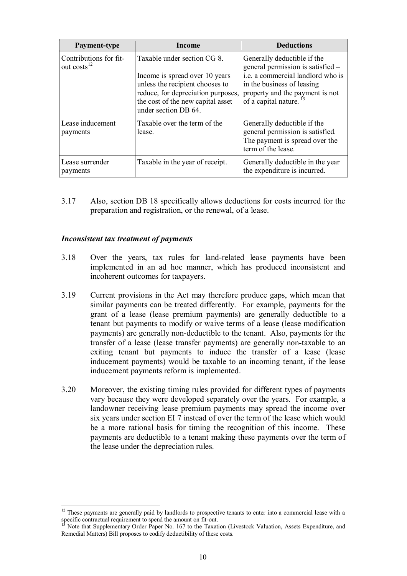| Payment-type                                      | Income                                                                                                                                                                                              | <b>Deductions</b>                                                                                                                                                                                            |
|---------------------------------------------------|-----------------------------------------------------------------------------------------------------------------------------------------------------------------------------------------------------|--------------------------------------------------------------------------------------------------------------------------------------------------------------------------------------------------------------|
| Contributions for fit-<br>out costs <sup>12</sup> | Taxable under section CG 8.<br>Income is spread over 10 years<br>unless the recipient chooses to<br>reduce, for depreciation purposes,<br>the cost of the new capital asset<br>under section DB 64. | Generally deductible if the<br>general permission is satisfied –<br>i.e. a commercial landlord who is<br>in the business of leasing<br>property and the payment is not<br>of a capital nature. <sup>13</sup> |
| Lease inducement<br>payments                      | Taxable over the term of the<br>lease.                                                                                                                                                              | Generally deductible if the<br>general permission is satisfied.<br>The payment is spread over the<br>term of the lease.                                                                                      |
| Lease surrender<br>payments                       | Taxable in the year of receipt.                                                                                                                                                                     | Generally deductible in the year<br>the expenditure is incurred.                                                                                                                                             |

3.17 Also, section DB 18 specifically allows deductions for costs incurred for the preparation and registration, or the renewal, of a lease.

# *Inconsistent tax treatment of payments*

- 3.18 Over the years, tax rules for land-related lease payments have been implemented in an ad hoc manner, which has produced inconsistent and incoherent outcomes for taxpayers.
- 3.19 Current provisions in the Act may therefore produce gaps, which mean that similar payments can be treated differently. For example, payments for the grant of a lease (lease premium payments) are generally deductible to a tenant but payments to modify or waive terms of a lease (lease modification payments) are generally non-deductible to the tenant. Also, payments for the transfer of a lease (lease transfer payments) are generally non-taxable to an exiting tenant but payments to induce the transfer of a lease (lease inducement payments) would be taxable to an incoming tenant, if the lease inducement payments reform is implemented.
- 3.20 Moreover, the existing timing rules provided for different types of payments vary because they were developed separately over the years. For example, a landowner receiving lease premium payments may spread the income over six years under section EI 7 instead of over the term of the lease which would be a more rational basis for timing the recognition of this income. These payments are deductible to a tenant making these payments over the term of the lease under the depreciation rules.

 $\overline{a}$  $12$  These payments are generally paid by landlords to prospective tenants to enter into a commercial lease with a specific contractual requirement to spend the amount on fit-out.

Note that Supplementary Order Paper No. 167 to the Taxation (Livestock Valuation, Assets Expenditure, and Remedial Matters) Bill proposes to codify deductibility of these costs.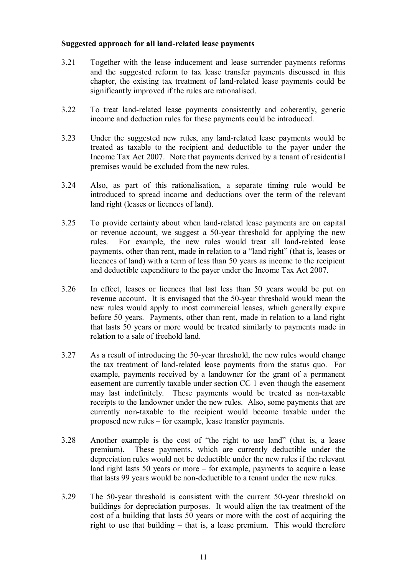# **Suggested approach for all land-related lease payments**

- 3.21 Together with the lease inducement and lease surrender payments reforms and the suggested reform to tax lease transfer payments discussed in this chapter, the existing tax treatment of land-related lease payments could be significantly improved if the rules are rationalised.
- 3.22 To treat land-related lease payments consistently and coherently, generic income and deduction rules for these payments could be introduced.
- 3.23 Under the suggested new rules, any land-related lease payments would be treated as taxable to the recipient and deductible to the payer under the Income Tax Act 2007. Note that payments derived by a tenant of residential premises would be excluded from the new rules.
- 3.24 Also, as part of this rationalisation, a separate timing rule would be introduced to spread income and deductions over the term of the relevant land right (leases or licences of land).
- 3.25 To provide certainty about when land-related lease payments are on capital or revenue account, we suggest a 50-year threshold for applying the new rules. For example, the new rules would treat all land-related lease payments, other than rent, made in relation to a "land right" (that is, leases or licences of land) with a term of less than 50 years as income to the recipient and deductible expenditure to the payer under the Income Tax Act 2007.
- 3.26 In effect, leases or licences that last less than 50 years would be put on revenue account. It is envisaged that the 50-year threshold would mean the new rules would apply to most commercial leases, which generally expire before 50 years. Payments, other than rent, made in relation to a land right that lasts 50 years or more would be treated similarly to payments made in relation to a sale of freehold land.
- 3.27 As a result of introducing the 50-year threshold, the new rules would change the tax treatment of land-related lease payments from the status quo. For example, payments received by a landowner for the grant of a permanent easement are currently taxable under section CC 1 even though the easement may last indefinitely. These payments would be treated as non-taxable receipts to the landowner under the new rules. Also, some payments that are currently non-taxable to the recipient would become taxable under the proposed new rules – for example, lease transfer payments.
- 3.28 Another example is the cost of "the right to use land" (that is, a lease premium). These payments, which are currently deductible under the depreciation rules would not be deductible under the new rules if the relevant land right lasts 50 years or more – for example, payments to acquire a lease that lasts 99 years would be non-deductible to a tenant under the new rules.
- 3.29 The 50-year threshold is consistent with the current 50-year threshold on buildings for depreciation purposes. It would align the tax treatment of the cost of a building that lasts 50 years or more with the cost of acquiring the right to use that building – that is, a lease premium. This would therefore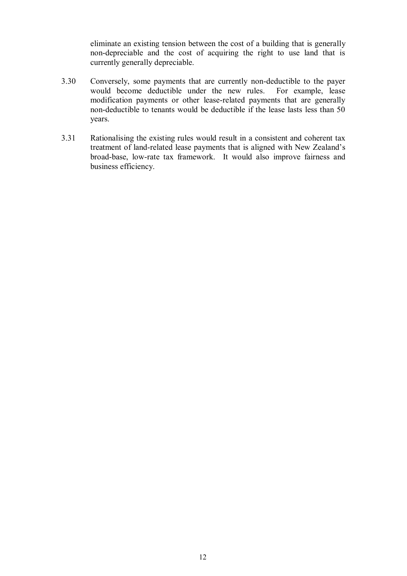eliminate an existing tension between the cost of a building that is generally non-depreciable and the cost of acquiring the right to use land that is currently generally depreciable.

- 3.30 Conversely, some payments that are currently non-deductible to the payer would become deductible under the new rules. For example, lease modification payments or other lease-related payments that are generally non-deductible to tenants would be deductible if the lease lasts less than 50 years.
- 3.31 Rationalising the existing rules would result in a consistent and coherent tax treatment of land-related lease payments that is aligned with New Zealand's broad-base, low-rate tax framework. It would also improve fairness and business efficiency.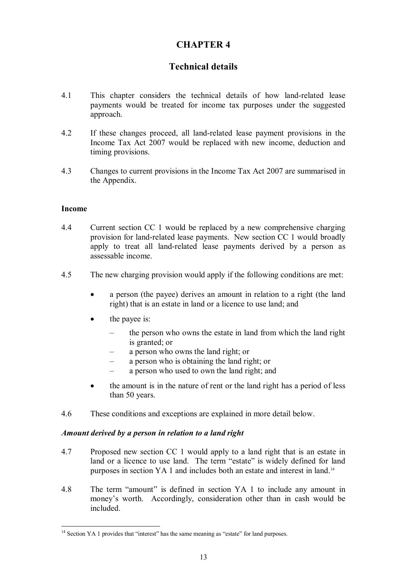# **CHAPTER 4**

# **Technical details**

- 4.1 This chapter considers the technical details of how land-related lease payments would be treated for income tax purposes under the suggested approach.
- 4.2 If these changes proceed, all land-related lease payment provisions in the Income Tax Act 2007 would be replaced with new income, deduction and timing provisions.
- 4.3 Changes to current provisions in the Income Tax Act 2007 are summarised in the Appendix.

## **Income**

 $\overline{a}$ 

- 4.4 Current section CC 1 would be replaced by a new comprehensive charging provision for land-related lease payments. New section CC 1 would broadly apply to treat all land-related lease payments derived by a person as assessable income.
- 4.5 The new charging provision would apply if the following conditions are met:
	- a person (the payee) derives an amount in relation to a right (the land right) that is an estate in land or a licence to use land; and
	- the payee is:
		- the person who owns the estate in land from which the land right is granted; or
		- a person who owns the land right; or
		- a person who is obtaining the land right; or
		- a person who used to own the land right; and
	- the amount is in the nature of rent or the land right has a period of less than 50 years.
- 4.6 These conditions and exceptions are explained in more detail below.

## *Amount derived by a person in relation to a land right*

- 4.7 Proposed new section CC 1 would apply to a land right that is an estate in land or a licence to use land. The term "estate" is widely defined for land purposes in section YA 1 and includes both an estate and interest in land.<sup>14</sup>
- 4.8 The term "amount" is defined in section YA 1 to include any amount in money's worth. Accordingly, consideration other than in cash would be included.

 $14$  Section YA 1 provides that "interest" has the same meaning as "estate" for land purposes.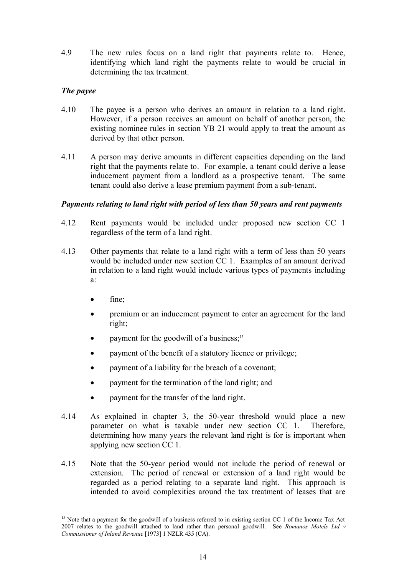4.9 The new rules focus on a land right that payments relate to. Hence, identifying which land right the payments relate to would be crucial in determining the tax treatment.

# *The payee*

- 4.10 The payee is a person who derives an amount in relation to a land right. However, if a person receives an amount on behalf of another person, the existing nominee rules in section YB 21 would apply to treat the amount as derived by that other person.
- 4.11 A person may derive amounts in different capacities depending on the land right that the payments relate to. For example, a tenant could derive a lease inducement payment from a landlord as a prospective tenant. The same tenant could also derive a lease premium payment from a sub-tenant.

## *Payments relating to land right with period of less than 50 years and rent payments*

- 4.12 Rent payments would be included under proposed new section CC 1 regardless of the term of a land right.
- 4.13 Other payments that relate to a land right with a term of less than 50 years would be included under new section CC 1. Examples of an amount derived in relation to a land right would include various types of payments including a:
	- fine;

- premium or an inducement payment to enter an agreement for the land right;
- payment for the goodwill of a business;<sup>15</sup>
- payment of the benefit of a statutory licence or privilege;
- payment of a liability for the breach of a covenant;
- payment for the termination of the land right; and
- payment for the transfer of the land right.
- 4.14 As explained in chapter 3, the 50-year threshold would place a new parameter on what is taxable under new section CC 1. Therefore, determining how many years the relevant land right is for is important when applying new section CC 1.
- 4.15 Note that the 50-year period would not include the period of renewal or extension. The period of renewal or extension of a land right would be regarded as a period relating to a separate land right. This approach is intended to avoid complexities around the tax treatment of leases that are

<sup>&</sup>lt;sup>15</sup> Note that a payment for the goodwill of a business referred to in existing section CC 1 of the Income Tax Act 2007 relates to the goodwill attached to land rather than personal goodwill. See *Romanos Motels Ltd v Commissioner of Inland Revenue* [1973] 1 NZLR 435 (CA).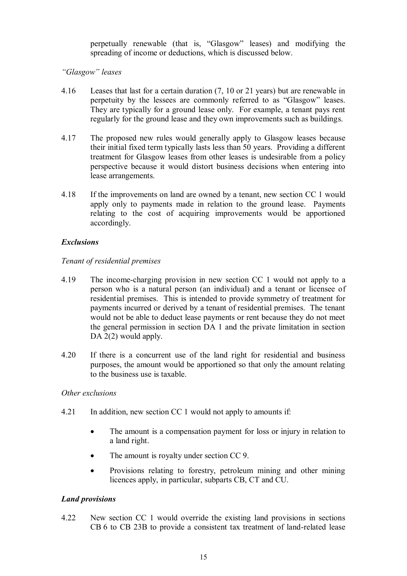perpetually renewable (that is, "Glasgow" leases) and modifying the spreading of income or deductions, which is discussed below.

# *"Glasgow" leases*

- 4.16 Leases that last for a certain duration (7, 10 or 21 years) but are renewable in perpetuity by the lessees are commonly referred to as "Glasgow" leases. They are typically for a ground lease only. For example, a tenant pays rent regularly for the ground lease and they own improvements such as buildings.
- 4.17 The proposed new rules would generally apply to Glasgow leases because their initial fixed term typically lasts less than 50 years. Providing a different treatment for Glasgow leases from other leases is undesirable from a policy perspective because it would distort business decisions when entering into lease arrangements.
- 4.18 If the improvements on land are owned by a tenant, new section CC 1 would apply only to payments made in relation to the ground lease. Payments relating to the cost of acquiring improvements would be apportioned accordingly.

# *Exclusions*

# *Tenant of residential premises*

- 4.19 The income-charging provision in new section CC 1 would not apply to a person who is a natural person (an individual) and a tenant or licensee of residential premises. This is intended to provide symmetry of treatment for payments incurred or derived by a tenant of residential premises. The tenant would not be able to deduct lease payments or rent because they do not meet the general permission in section DA 1 and the private limitation in section DA 2(2) would apply.
- 4.20 If there is a concurrent use of the land right for residential and business purposes, the amount would be apportioned so that only the amount relating to the business use is taxable.

## *Other exclusions*

- 4.21 In addition, new section CC 1 would not apply to amounts if:
	- The amount is a compensation payment for loss or injury in relation to a land right.
	- The amount is royalty under section CC 9.
	- Provisions relating to forestry, petroleum mining and other mining licences apply, in particular, subparts CB, CT and CU.

# *Land provisions*

4.22 New section CC 1 would override the existing land provisions in sections CB 6 to CB 23B to provide a consistent tax treatment of land-related lease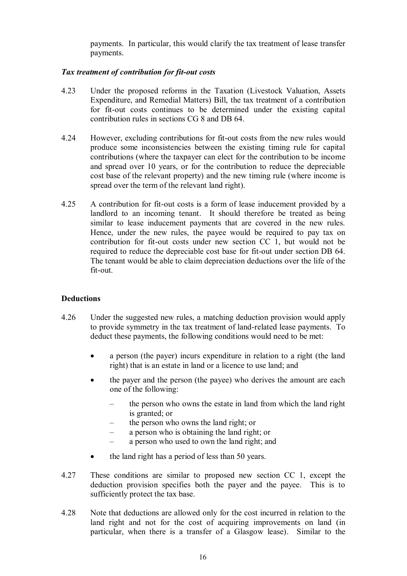payments. In particular, this would clarify the tax treatment of lease transfer payments.

# *Tax treatment of contribution for fit-out costs*

- 4.23 Under the proposed reforms in the Taxation (Livestock Valuation, Assets Expenditure, and Remedial Matters) Bill, the tax treatment of a contribution for fit-out costs continues to be determined under the existing capital contribution rules in sections CG 8 and DB 64.
- 4.24 However, excluding contributions for fit-out costs from the new rules would produce some inconsistencies between the existing timing rule for capital contributions (where the taxpayer can elect for the contribution to be income and spread over 10 years, or for the contribution to reduce the depreciable cost base of the relevant property) and the new timing rule (where income is spread over the term of the relevant land right).
- 4.25 A contribution for fit-out costs is a form of lease inducement provided by a landlord to an incoming tenant. It should therefore be treated as being similar to lease inducement payments that are covered in the new rules. Hence, under the new rules, the payee would be required to pay tax on contribution for fit-out costs under new section CC 1, but would not be required to reduce the depreciable cost base for fit-out under section DB 64. The tenant would be able to claim depreciation deductions over the life of the fit-out.

## **Deductions**

- 4.26 Under the suggested new rules, a matching deduction provision would apply to provide symmetry in the tax treatment of land-related lease payments. To deduct these payments, the following conditions would need to be met:
	- a person (the payer) incurs expenditure in relation to a right (the land right) that is an estate in land or a licence to use land; and
	- the payer and the person (the payee) who derives the amount are each one of the following:
		- the person who owns the estate in land from which the land right is granted; or
		- the person who owns the land right; or
		- a person who is obtaining the land right; or
		- a person who used to own the land right; and
	- the land right has a period of less than 50 years.
- 4.27 These conditions are similar to proposed new section CC 1, except the deduction provision specifies both the payer and the payee. This is to sufficiently protect the tax base.
- 4.28 Note that deductions are allowed only for the cost incurred in relation to the land right and not for the cost of acquiring improvements on land (in particular, when there is a transfer of a Glasgow lease). Similar to the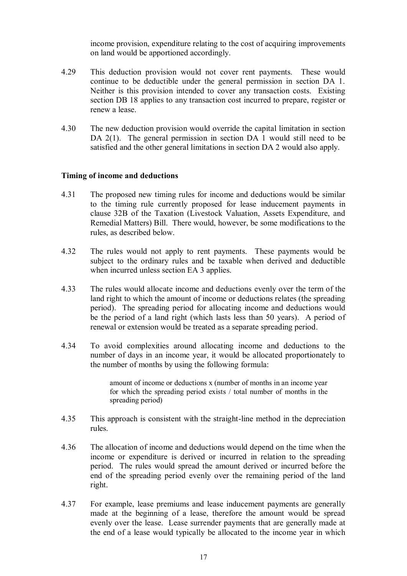income provision, expenditure relating to the cost of acquiring improvements on land would be apportioned accordingly.

- 4.29 This deduction provision would not cover rent payments. These would continue to be deductible under the general permission in section DA 1. Neither is this provision intended to cover any transaction costs. Existing section DB 18 applies to any transaction cost incurred to prepare, register or renew a lease.
- 4.30 The new deduction provision would override the capital limitation in section DA 2(1). The general permission in section DA 1 would still need to be satisfied and the other general limitations in section DA 2 would also apply.

## **Timing of income and deductions**

- 4.31 The proposed new timing rules for income and deductions would be similar to the timing rule currently proposed for lease inducement payments in clause 32B of the Taxation (Livestock Valuation, Assets Expenditure, and Remedial Matters) Bill. There would, however, be some modifications to the rules, as described below.
- 4.32 The rules would not apply to rent payments. These payments would be subject to the ordinary rules and be taxable when derived and deductible when incurred unless section EA 3 applies.
- 4.33 The rules would allocate income and deductions evenly over the term of the land right to which the amount of income or deductions relates (the spreading period). The spreading period for allocating income and deductions would be the period of a land right (which lasts less than 50 years). A period of renewal or extension would be treated as a separate spreading period.
- 4.34 To avoid complexities around allocating income and deductions to the number of days in an income year, it would be allocated proportionately to the number of months by using the following formula:

amount of income or deductions x (number of months in an income year for which the spreading period exists / total number of months in the spreading period)

- 4.35 This approach is consistent with the straight-line method in the depreciation rules.
- 4.36 The allocation of income and deductions would depend on the time when the income or expenditure is derived or incurred in relation to the spreading period. The rules would spread the amount derived or incurred before the end of the spreading period evenly over the remaining period of the land right.
- 4.37 For example, lease premiums and lease inducement payments are generally made at the beginning of a lease, therefore the amount would be spread evenly over the lease. Lease surrender payments that are generally made at the end of a lease would typically be allocated to the income year in which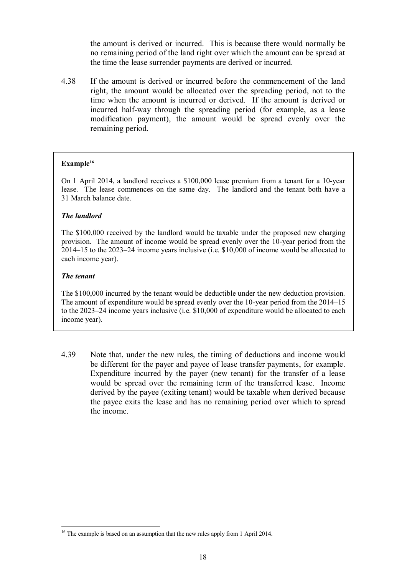the amount is derived or incurred. This is because there would normally be no remaining period of the land right over which the amount can be spread at the time the lease surrender payments are derived or incurred.

4.38 If the amount is derived or incurred before the commencement of the land right, the amount would be allocated over the spreading period, not to the time when the amount is incurred or derived. If the amount is derived or incurred half-way through the spreading period (for example, as a lease modification payment), the amount would be spread evenly over the remaining period.

#### **Example<sup>16</sup>**

On 1 April 2014, a landlord receives a \$100,000 lease premium from a tenant for a 10-year lease. The lease commences on the same day. The landlord and the tenant both have a 31 March balance date.

#### *The landlord*

The \$100,000 received by the landlord would be taxable under the proposed new charging provision. The amount of income would be spread evenly over the 10-year period from the 2014–15 to the 2023–24 income years inclusive (i.e. \$10,000 of income would be allocated to each income year).

#### *The tenant*

 $\overline{a}$ 

The \$100,000 incurred by the tenant would be deductible under the new deduction provision. The amount of expenditure would be spread evenly over the 10-year period from the 2014–15 to the 2023–24 income years inclusive (i.e. \$10,000 of expenditure would be allocated to each income year).

4.39 Note that, under the new rules, the timing of deductions and income would be different for the payer and payee of lease transfer payments, for example. Expenditure incurred by the payer (new tenant) for the transfer of a lease would be spread over the remaining term of the transferred lease. Income derived by the payee (exiting tenant) would be taxable when derived because the payee exits the lease and has no remaining period over which to spread the income.

<sup>&</sup>lt;sup>16</sup> The example is based on an assumption that the new rules apply from 1 April 2014.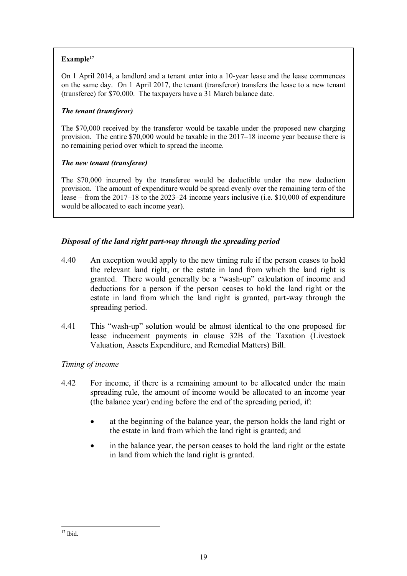# **Example<sup>17</sup>**

On 1 April 2014, a landlord and a tenant enter into a 10-year lease and the lease commences on the same day. On 1 April 2017, the tenant (transferor) transfers the lease to a new tenant (transferee) for \$70,000. The taxpayers have a 31 March balance date.

## *The tenant (transferor)*

The \$70,000 received by the transferor would be taxable under the proposed new charging provision. The entire \$70,000 would be taxable in the 2017–18 income year because there is no remaining period over which to spread the income.

# *The new tenant (transferee)*

The \$70,000 incurred by the transferee would be deductible under the new deduction provision. The amount of expenditure would be spread evenly over the remaining term of the lease – from the 2017–18 to the 2023–24 income years inclusive (i.e. \$10,000 of expenditure would be allocated to each income year).

# *Disposal of the land right part-way through the spreading period*

- 4.40 An exception would apply to the new timing rule if the person ceases to hold the relevant land right, or the estate in land from which the land right is granted. There would generally be a "wash-up" calculation of income and deductions for a person if the person ceases to hold the land right or the estate in land from which the land right is granted, part-way through the spreading period.
- 4.41 This "wash-up" solution would be almost identical to the one proposed for lease inducement payments in clause 32B of the Taxation (Livestock Valuation, Assets Expenditure, and Remedial Matters) Bill.

# *Timing of income*

- 4.42 For income, if there is a remaining amount to be allocated under the main spreading rule, the amount of income would be allocated to an income year (the balance year) ending before the end of the spreading period, if:
	- at the beginning of the balance year, the person holds the land right or the estate in land from which the land right is granted; and
	- in the balance year, the person ceases to hold the land right or the estate in land from which the land right is granted.

 $\overline{a}$  $17$  Ibid.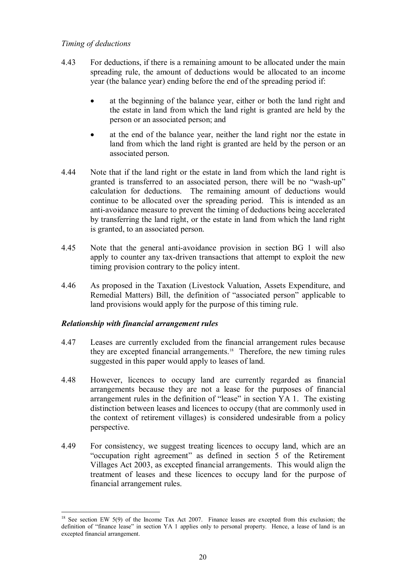# *Timing of deductions*

- 4.43 For deductions, if there is a remaining amount to be allocated under the main spreading rule, the amount of deductions would be allocated to an income year (the balance year) ending before the end of the spreading period if:
	- at the beginning of the balance year, either or both the land right and the estate in land from which the land right is granted are held by the person or an associated person; and
	- at the end of the balance year, neither the land right nor the estate in land from which the land right is granted are held by the person or an associated person.
- 4.44 Note that if the land right or the estate in land from which the land right is granted is transferred to an associated person, there will be no "wash-up" calculation for deductions. The remaining amount of deductions would continue to be allocated over the spreading period. This is intended as an anti-avoidance measure to prevent the timing of deductions being accelerated by transferring the land right, or the estate in land from which the land right is granted, to an associated person.
- 4.45 Note that the general anti-avoidance provision in section BG 1 will also apply to counter any tax-driven transactions that attempt to exploit the new timing provision contrary to the policy intent.
- 4.46 As proposed in the Taxation (Livestock Valuation, Assets Expenditure, and Remedial Matters) Bill, the definition of "associated person" applicable to land provisions would apply for the purpose of this timing rule.

# *Relationship with financial arrangement rules*

- 4.47 Leases are currently excluded from the financial arrangement rules because they are excepted financial arrangements.<sup>18</sup> Therefore, the new timing rules suggested in this paper would apply to leases of land.
- 4.48 However, licences to occupy land are currently regarded as financial arrangements because they are not a lease for the purposes of financial arrangement rules in the definition of "lease" in section YA 1. The existing distinction between leases and licences to occupy (that are commonly used in the context of retirement villages) is considered undesirable from a policy perspective.
- 4.49 For consistency, we suggest treating licences to occupy land, which are an "occupation right agreement" as defined in section 5 of the Retirement Villages Act 2003, as excepted financial arrangements. This would align the treatment of leases and these licences to occupy land for the purpose of financial arrangement rules.

 $\overline{a}$ <sup>18</sup> See section EW 5(9) of the Income Tax Act 2007. Finance leases are excepted from this exclusion; the definition of "finance lease" in section YA 1 applies only to personal property. Hence, a lease of land is an excepted financial arrangement.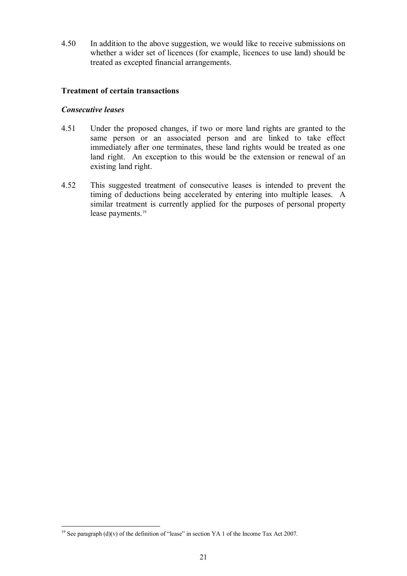4.50 In addition to the above suggestion, we would like to receive submissions on whether a wider set of licences (for example, licences to use land) should be treated as excepted financial arrangements.

## **Treatment of certain transactions**

## *Consecutive leases*

- 4.51 Under the proposed changes, if two or more land rights are granted to the same person or an associated person and are linked to take effect immediately after one terminates, these land rights would be treated as one land right. An exception to this would be the extension or renewal of an existing land right.
- 4.52 This suggested treatment of consecutive leases is intended to prevent the timing of deductions being accelerated by entering into multiple leases. A similar treatment is currently applied for the purposes of personal property lease payments.<sup>19</sup>

<sup>&</sup>lt;sup>19</sup> See paragraph (d)(v) of the definition of "lease" in section YA 1 of the Income Tax Act 2007.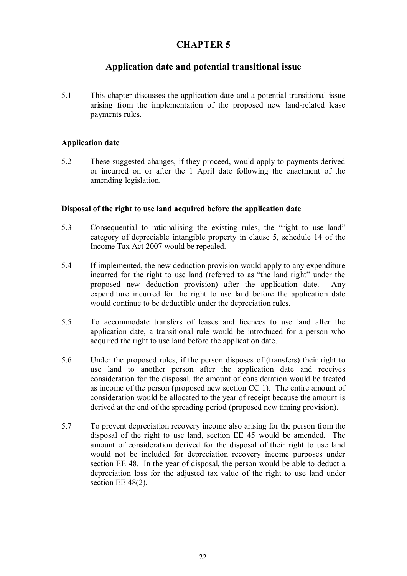# **CHAPTER 5**

# **Application date and potential transitional issue**

5.1 This chapter discusses the application date and a potential transitional issue arising from the implementation of the proposed new land-related lease payments rules.

# **Application date**

5.2 These suggested changes, if they proceed, would apply to payments derived or incurred on or after the 1 April date following the enactment of the amending legislation.

## **Disposal of the right to use land acquired before the application date**

- 5.3 Consequential to rationalising the existing rules, the "right to use land" category of depreciable intangible property in clause 5, schedule 14 of the Income Tax Act 2007 would be repealed.
- 5.4 If implemented, the new deduction provision would apply to any expenditure incurred for the right to use land (referred to as "the land right" under the proposed new deduction provision) after the application date. Any expenditure incurred for the right to use land before the application date would continue to be deductible under the depreciation rules.
- 5.5 To accommodate transfers of leases and licences to use land after the application date, a transitional rule would be introduced for a person who acquired the right to use land before the application date.
- 5.6 Under the proposed rules, if the person disposes of (transfers) their right to use land to another person after the application date and receives consideration for the disposal, the amount of consideration would be treated as income of the person (proposed new section CC 1). The entire amount of consideration would be allocated to the year of receipt because the amount is derived at the end of the spreading period (proposed new timing provision).
- 5.7 To prevent depreciation recovery income also arising for the person from the disposal of the right to use land, section EE 45 would be amended. The amount of consideration derived for the disposal of their right to use land would not be included for depreciation recovery income purposes under section EE 48. In the year of disposal, the person would be able to deduct a depreciation loss for the adjusted tax value of the right to use land under section EE 48(2).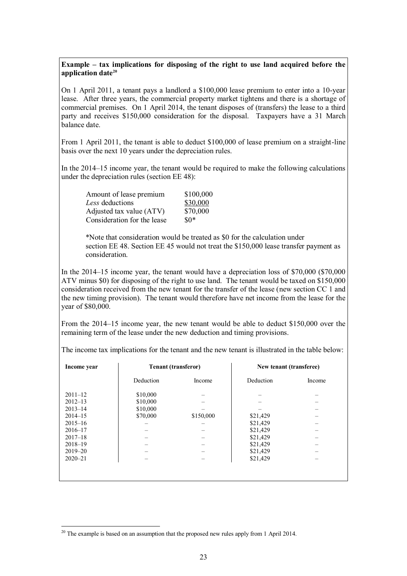#### **Example – tax implications for disposing of the right to use land acquired before the application date<sup>20</sup>**

On 1 April 2011, a tenant pays a landlord a \$100,000 lease premium to enter into a 10-year lease. After three years, the commercial property market tightens and there is a shortage of commercial premises. On 1 April 2014, the tenant disposes of (transfers) the lease to a third party and receives \$150,000 consideration for the disposal. Taxpayers have a 31 March balance date.

From 1 April 2011, the tenant is able to deduct \$100,000 of lease premium on a straight-line basis over the next 10 years under the depreciation rules.

In the 2014–15 income year, the tenant would be required to make the following calculations under the depreciation rules (section EE 48):

| Amount of lease premium     | \$100,000 |
|-----------------------------|-----------|
| Less deductions             | \$30,000  |
| Adjusted tax value (ATV)    | \$70,000  |
| Consideration for the lease | $$0*$     |

\*Note that consideration would be treated as \$0 for the calculation under section EE 48. Section EE 45 would not treat the \$150,000 lease transfer payment as consideration.

In the 2014–15 income year, the tenant would have a depreciation loss of \$70,000 (\$70,000 ATV minus \$0) for disposing of the right to use land. The tenant would be taxed on \$150,000 consideration received from the new tenant for the transfer of the lease (new section CC 1 and the new timing provision). The tenant would therefore have net income from the lease for the year of \$80,000.

From the 2014–15 income year, the new tenant would be able to deduct \$150,000 over the remaining term of the lease under the new deduction and timing provisions.

| Income year | <b>Tenant (transferor)</b> |           | New tenant (transferee) |        |
|-------------|----------------------------|-----------|-------------------------|--------|
|             | Deduction                  | Income    | Deduction               | Income |
| $2011 - 12$ | \$10,000                   |           |                         |        |
| $2012 - 13$ | \$10,000                   |           |                         |        |
| $2013 - 14$ | \$10,000                   |           |                         |        |
| $2014 - 15$ | \$70,000                   | \$150,000 | \$21,429                |        |
| $2015 - 16$ |                            |           | \$21,429                |        |
| $2016 - 17$ |                            |           | \$21,429                |        |
| $2017 - 18$ |                            |           | \$21,429                |        |
| $2018 - 19$ |                            |           | \$21,429                |        |
| $2019 - 20$ |                            |           | \$21,429                |        |
| $2020 - 21$ |                            |           | \$21,429                |        |
|             |                            |           |                         |        |
|             |                            |           |                         |        |
|             |                            |           |                         |        |

The income tax implications for the tenant and the new tenant is illustrated in the table below:

<sup>&</sup>lt;sup>20</sup> The example is based on an assumption that the proposed new rules apply from 1 April 2014.